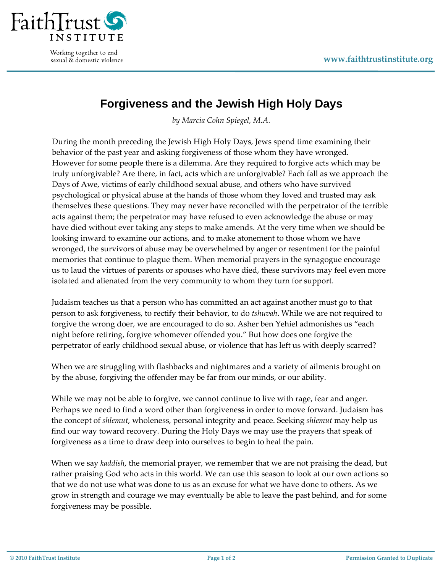

Working together to end sexual & domestic violence

## **Forgiveness and the Jewish High Holy Days**

*by Marcia Cohn Spiegel, M.A.*

During the month preceding the Jewish High Holy Days, Jews spend time examining their behavior of the past year and asking forgiveness of those whom they have wronged. However for some people there is a dilemma. Are they required to forgive acts which may be truly unforgivable? Are there, in fact, acts which are unforgivable? Each fall as we approach the Days of Awe, victims of early childhood sexual abuse, and others who have survived psychological or physical abuse at the hands of those whom they loved and trusted may ask themselves these questions. They may never have reconciled with the perpetrator of the terrible acts against them; the perpetrator may have refused to even acknowledge the abuse or may have died without ever taking any steps to make amends. At the very time when we should be looking inward to examine our actions, and to make atonement to those whom we have wronged, the survivors of abuse may be overwhelmed by anger or resentment for the painful memories that continue to plague them. When memorial prayers in the synagogue encourage us to laud the virtues of parents or spouses who have died, these survivors may feel even more isolated and alienated from the very community to whom they turn for support.

Judaism teaches us that a person who has committed an act against another must go to that person to ask forgiveness, to rectify their behavior, to do *tshuvah*. While we are not required to forgive the wrong doer, we are encouraged to do so. Asher ben Yehiel admonishes us "each night before retiring, forgive whomever offended you." But how does one forgive the perpetrator of early childhood sexual abuse, or violence that has left us with deeply scarred?

When we are struggling with flashbacks and nightmares and a variety of ailments brought on by the abuse, forgiving the offender may be far from our minds, or our ability.

While we may not be able to forgive, we cannot continue to live with rage, fear and anger. Perhaps we need to find a word other than forgiveness in order to move forward. Judaism has the concept of *shlemut*, wholeness, personal integrity and peace. Seeking *shlemut* may help us find our way toward recovery. During the Holy Days we may use the prayers that speak of forgiveness as a time to draw deep into ourselves to begin to heal the pain.

When we say *kaddish*, the memorial prayer, we remember that we are not praising the dead, but rather praising God who acts in this world. We can use this season to look at our own actions so that we do not use what was done to us as an excuse for what we have done to others. As we grow in strength and courage we may eventually be able to leave the past behind, and for some forgiveness may be possible.